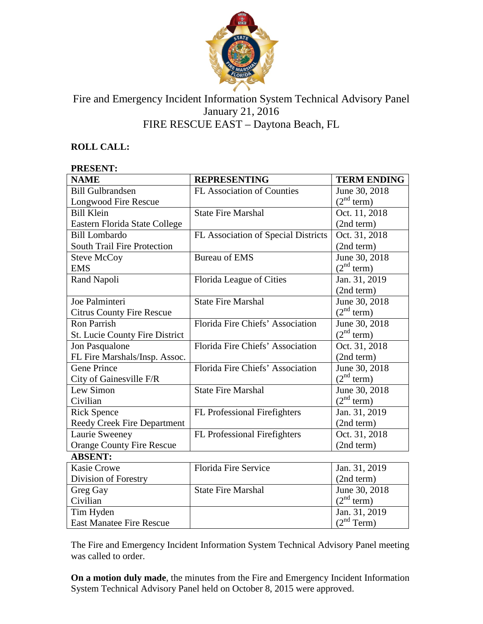

# Fire and Emergency Incident Information System Technical Advisory Panel January 21, 2016 FIRE RESCUE EAST – Daytona Beach, FL

# **ROLL CALL:**

#### **PRESENT:**

| <b>NAME</b>                           | <b>REPRESENTING</b>                 | <b>TERM ENDING</b>     |
|---------------------------------------|-------------------------------------|------------------------|
| <b>Bill Gulbrandsen</b>               | <b>FL Association of Counties</b>   | June 30, 2018          |
| Longwood Fire Rescue                  |                                     | (2 <sup>nd</sup> term) |
| <b>Bill Klein</b>                     | <b>State Fire Marshal</b>           | Oct. 11, 2018          |
| Eastern Florida State College         |                                     | (2nd term)             |
| <b>Bill Lombardo</b>                  | FL Association of Special Districts | Oct. 31, 2018          |
| South Trail Fire Protection           |                                     | (2nd term)             |
| <b>Steve McCoy</b>                    | <b>Bureau of EMS</b>                | June 30, 2018          |
| <b>EMS</b>                            |                                     | (2 <sup>nd</sup> term) |
| Rand Napoli                           | Florida League of Cities            | Jan. 31, 2019          |
|                                       |                                     | (2nd term)             |
| Joe Palminteri                        | <b>State Fire Marshal</b>           | June 30, 2018          |
| <b>Citrus County Fire Rescue</b>      |                                     | (2 <sup>nd</sup> term) |
| <b>Ron Parrish</b>                    | Florida Fire Chiefs' Association    | June 30, 2018          |
| <b>St. Lucie County Fire District</b> |                                     | (2 <sup>nd</sup> term) |
| Jon Pasqualone                        | Florida Fire Chiefs' Association    | Oct. 31, 2018          |
| FL Fire Marshals/Insp. Assoc.         |                                     | (2nd term)             |
| <b>Gene Prince</b>                    | Florida Fire Chiefs' Association    | June 30, 2018          |
| City of Gainesville F/R               |                                     | (2 <sup>nd</sup> term) |
| Lew Simon                             | <b>State Fire Marshal</b>           | June 30, 2018          |
| Civilian                              |                                     | (2 <sup>nd</sup> term) |
| <b>Rick Spence</b>                    | FL Professional Firefighters        | Jan. 31, 2019          |
| Reedy Creek Fire Department           |                                     | (2nd term)             |
| Laurie Sweeney                        | FL Professional Firefighters        | Oct. 31, 2018          |
| <b>Orange County Fire Rescue</b>      |                                     | (2nd term)             |
| <b>ABSENT:</b>                        |                                     |                        |
| <b>Kasie Crowe</b>                    | <b>Florida Fire Service</b>         | Jan. 31, 2019          |
| Division of Forestry                  |                                     | (2nd term)             |
| Greg Gay                              | <b>State Fire Marshal</b>           | June 30, 2018          |
| Civilian                              |                                     | (2 <sup>nd</sup> term) |
| Tim Hyden                             |                                     | Jan. 31, 2019          |
| <b>East Manatee Fire Rescue</b>       |                                     | (2 <sup>nd</sup> Term) |

The Fire and Emergency Incident Information System Technical Advisory Panel meeting was called to order.

**On a motion duly made**, the minutes from the Fire and Emergency Incident Information System Technical Advisory Panel held on October 8, 2015 were approved.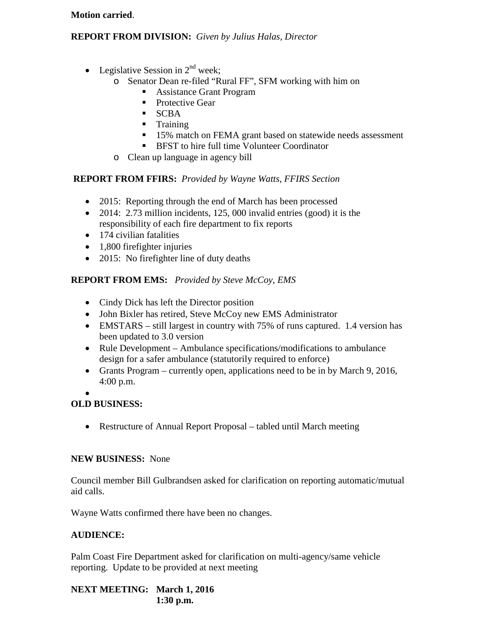#### **Motion carried**.

## **REPORT FROM DIVISION:** *Given by Julius Halas, Director*

- Legislative Session in  $2<sup>nd</sup>$  week:
	- o Senator Dean re-filed "Rural FF", SFM working with him on
		- **Assistance Grant Program**
		- Protective Gear
		- **SCBA**
		- **Training**
		- <sup>15%</sup> match on FEMA grant based on statewide needs assessment
		- **BFST** to hire full time Volunteer Coordinator
	- o Clean up language in agency bill

### **REPORT FROM FFIRS:** *Provided by Wayne Watts, FFIRS Section*

- 2015: Reporting through the end of March has been processed
- 2014: 2.73 million incidents, 125, 000 invalid entries (good) it is the responsibility of each fire department to fix reports
- 174 civilian fatalities
- 1,800 firefighter injuries
- 2015: No firefighter line of duty deaths

## **REPORT FROM EMS:** *Provided by Steve McCoy, EMS*

- Cindy Dick has left the Director position
- John Bixler has retired, Steve McCoy new EMS Administrator
- EMSTARS still largest in country with 75% of runs captured. 1.4 version has been updated to 3.0 version
- Rule Development Ambulance specifications/modifications to ambulance design for a safer ambulance (statutorily required to enforce)
- Grants Program currently open, applications need to be in by March 9, 2016, 4:00 p.m.
- •

### **OLD BUSINESS:**

• Restructure of Annual Report Proposal – tabled until March meeting

### **NEW BUSINESS:** None

Council member Bill Gulbrandsen asked for clarification on reporting automatic/mutual aid calls.

Wayne Watts confirmed there have been no changes.

### **AUDIENCE:**

Palm Coast Fire Department asked for clarification on multi-agency/same vehicle reporting. Update to be provided at next meeting

**NEXT MEETING: March 1, 2016 1:30 p.m.**